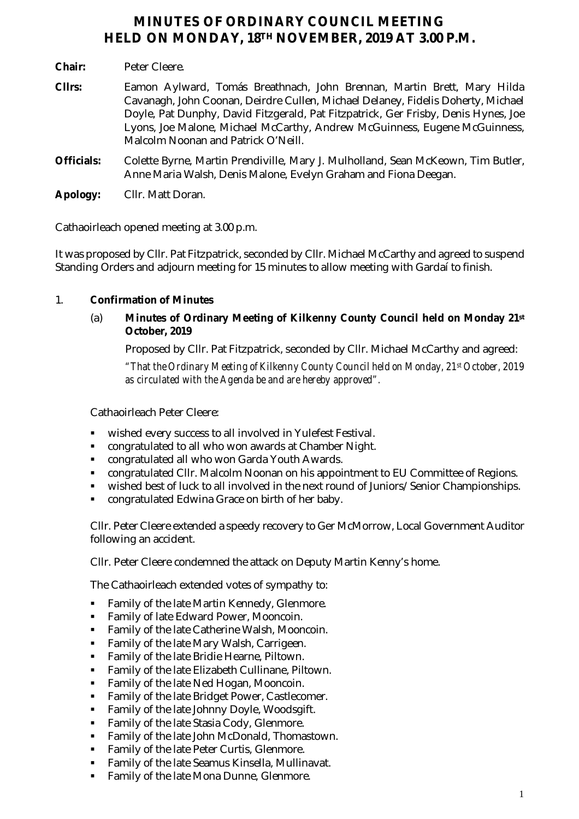# **MINUTES OF ORDINARY COUNCIL MEETING HELD ON MONDAY, 18TH NOVEMBER, 2019 AT 3.00 P.M.**

- **Chair:** Peter Cleere.
- **Cllrs:** Eamon Aylward, Tomás Breathnach, John Brennan, Martin Brett, Mary Hilda Cavanagh, John Coonan, Deirdre Cullen, Michael Delaney, Fidelis Doherty, Michael Doyle, Pat Dunphy, David Fitzgerald, Pat Fitzpatrick, Ger Frisby, Denis Hynes, Joe Lyons, Joe Malone, Michael McCarthy, Andrew McGuinness, Eugene McGuinness, Malcolm Noonan and Patrick O'Neill.
- **Officials:** Colette Byrne, Martin Prendiville, Mary J. Mulholland, Sean McKeown, Tim Butler, Anne Maria Walsh, Denis Malone, Evelyn Graham and Fiona Deegan.
- **Apology:** Cllr. Matt Doran.

Cathaoirleach opened meeting at 3.00 p.m.

It was proposed by Cllr. Pat Fitzpatrick, seconded by Cllr. Michael McCarthy and agreed to suspend Standing Orders and adjourn meeting for 15 minutes to allow meeting with Gardaí to finish.

# 1. **Confirmation of Minutes**

(a) **Minutes of Ordinary Meeting of Kilkenny County Council held on Monday 21st October, 2019**

Proposed by Cllr. Pat Fitzpatrick, seconded by Cllr. Michael McCarthy and agreed:

*"That the Ordinary Meeting of Kilkenny County Council held on Monday, 21st October, 2019 as circulated with the Agenda be and are hereby approved".*

Cathaoirleach Peter Cleere:

- wished every success to all involved in Yulefest Festival.
- congratulated to all who won awards at Chamber Night.
- congratulated all who won Garda Youth Awards.
- congratulated Cllr. Malcolm Noonan on his appointment to EU Committee of Regions.
- wished best of luck to all involved in the next round of Juniors/Senior Championships.
- congratulated Edwina Grace on birth of her baby.

Cllr. Peter Cleere extended a speedy recovery to Ger McMorrow, Local Government Auditor following an accident.

Cllr. Peter Cleere condemned the attack on Deputy Martin Kenny's home.

The Cathaoirleach extended votes of sympathy to:

- **Family of the late Martin Kennedy, Glenmore.**
- **Family of late Edward Power, Mooncoin.**
- Family of the late Catherine Walsh, Mooncoin.
- Family of the late Mary Walsh, Carrigeen.
- **Family of the late Bridie Hearne, Piltown.**
- **Family of the late Elizabeth Cullinane, Piltown.**
- Family of the late Ned Hogan, Mooncoin.
- Family of the late Bridget Power, Castlecomer.
- **Family of the late Johnny Doyle, Woodsgift.**
- **Family of the late Stasia Cody, Glenmore.**
- **Family of the late John McDonald, Thomastown.**
- **Family of the late Peter Curtis, Glenmore.**
- **Family of the late Seamus Kinsella, Mullinavat.**
- **Family of the late Mona Dunne, Glenmore.**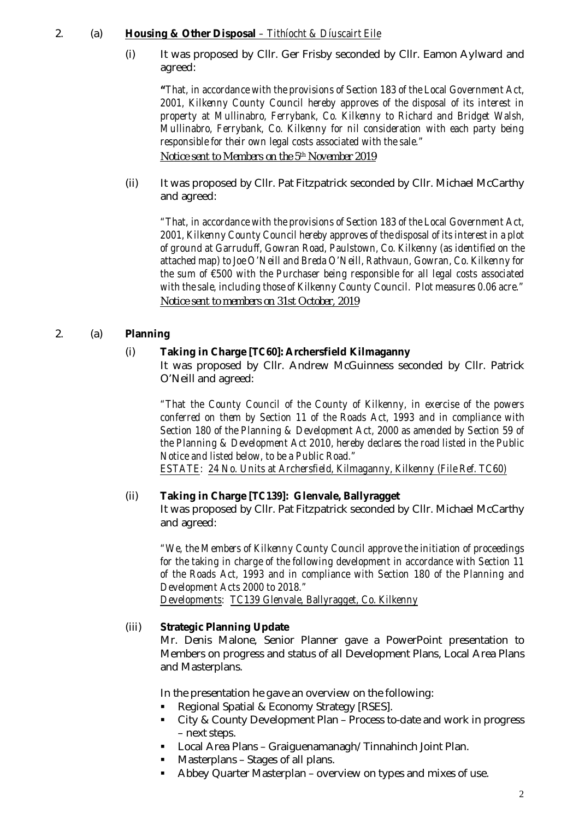# 2. (a) **Housing & Other Disposal** *– Tithíocht & Díuscairt Eile*

(i) It was proposed by Cllr. Ger Frisby seconded by Cllr. Eamon Aylward and agreed:

*"That, in accordance with the provisions of Section 183 of the Local Government Act, 2001, Kilkenny County Council hereby approves of the disposal of its interest in property at Mullinabro, Ferrybank, Co. Kilkenny to Richard and Bridget Walsh, Mullinabro, Ferrybank, Co. Kilkenny for nil consideration with each party being responsible for their own legal costs associated with the sale." Notice sent to Members on the 5th November 2019*

(ii) It was proposed by Cllr. Pat Fitzpatrick seconded by Cllr. Michael McCarthy and agreed:

*"That, in accordance with the provisions of Section 183 of the Local Government Act, 2001, Kilkenny County Council hereby approves of the disposal of its interest in a plot of ground at Garruduff, Gowran Road, Paulstown, Co. Kilkenny (as identified on the attached map) to Joe O'Neill and Breda O'Neill, Rathvaun, Gowran, Co. Kilkenny for the sum of €500 with the Purchaser being responsible for all legal costs associated with the sale, including those of Kilkenny County Council. Plot measures 0.06 acre." Notice sent to members on 31st October, 2019*

# 2. (a) **Planning**

# (i) **Taking in Charge** *[TC60]***: Archersfield Kilmaganny**

It was proposed by Cllr. Andrew McGuinness seconded by Cllr. Patrick O'Neill and agreed:

*"That the County Council of the County of Kilkenny, in exercise of the powers conferred on them by Section 11 of the Roads Act, 1993 and in compliance with Section 180 of the Planning & Development Act, 2000 as amended by Section 59 of the Planning & Development Act 2010, hereby declares the road listed in the Public Notice and listed below, to be a Public Road." ESTATE: 24 No. Units at Archersfield, Kilmaganny, Kilkenny (File Ref. TC60)*

# (ii) **Taking in Charge** *[TC139]:* **Glenvale, Ballyragget**

It was proposed by Cllr. Pat Fitzpatrick seconded by Cllr. Michael McCarthy and agreed:

*"We, the Members of Kilkenny County Council approve the initiation of proceedings for the taking in charge of the following development in accordance with Section 11 of the Roads Act, 1993 and in compliance with Section 180 of the Planning and Development Acts 2000 to 2018." Developments: TC139 Glenvale, Ballyragget, Co. Kilkenny*

#### (iii) **Strategic Planning Update**

Mr. Denis Malone, Senior Planner gave a PowerPoint presentation to Members on progress and status of all Development Plans, Local Area Plans and Masterplans.

In the presentation he gave an overview on the following:

- Regional Spatial & Economy Strategy [RSES].
- City & County Development Plan Process to-date and work in progress – next steps.
- Local Area Plans Graiguenamanagh/Tinnahinch Joint Plan.
- Masterplans Stages of all plans.
- Abbey Quarter Masterplan overview on types and mixes of use.

2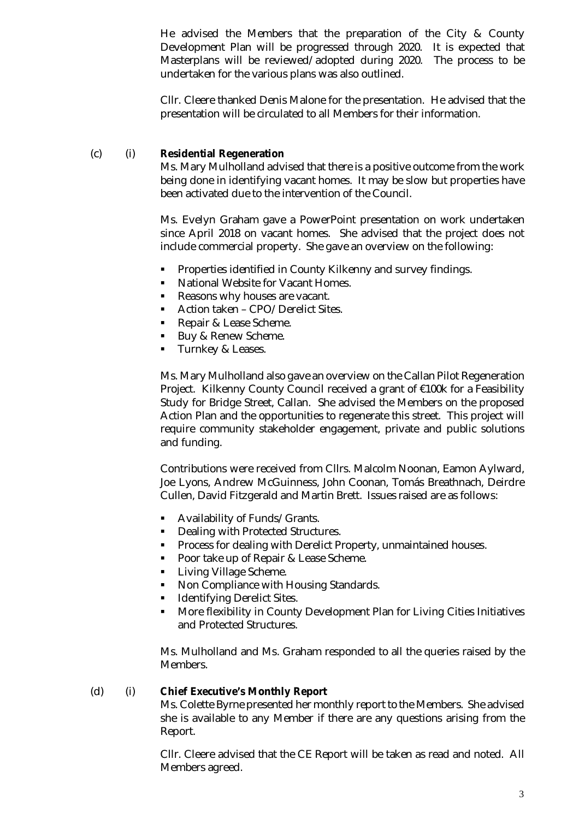He advised the Members that the preparation of the City & County Development Plan will be progressed through 2020. It is expected that Masterplans will be reviewed/adopted during 2020. The process to be undertaken for the various plans was also outlined.

Cllr. Cleere thanked Denis Malone for the presentation. He advised that the presentation will be circulated to all Members for their information.

#### (c) (i) **Residential Regeneration**

Ms. Mary Mulholland advised that there is a positive outcome from the work being done in identifying vacant homes. It may be slow but properties have been activated due to the intervention of the Council.

Ms. Evelyn Graham gave a PowerPoint presentation on work undertaken since April 2018 on vacant homes. She advised that the project does not include commercial property. She gave an overview on the following:

- **Properties identified in County Kilkenny and survey findings.**
- National Website for Vacant Homes.
- Reasons why houses are vacant.
- Action taken CPO/Derelict Sites.
- Repair & Lease Scheme.
- Buy & Renew Scheme.
- Turnkey & Leases.

Ms. Mary Mulholland also gave an overview on the Callan Pilot Regeneration Project. Kilkenny County Council received a grant of €100k for a Feasibility Study for Bridge Street, Callan. She advised the Members on the proposed Action Plan and the opportunities to regenerate this street. This project will require community stakeholder engagement, private and public solutions and funding.

Contributions were received from Cllrs. Malcolm Noonan, Eamon Aylward, Joe Lyons, Andrew McGuinness, John Coonan, Tomás Breathnach, Deirdre Cullen, David Fitzgerald and Martin Brett. Issues raised are as follows:

- Availability of Funds/Grants.
- **Dealing with Protected Structures.**
- **Process for dealing with Derelict Property, unmaintained houses.**
- **Poor take up of Repair & Lease Scheme.**
- **Living Village Scheme.**
- Non Compliance with Housing Standards.
- **IDENTIFYING Derelict Sites.**
- More flexibility in County Development Plan for Living Cities Initiatives and Protected Structures.

Ms. Mulholland and Ms. Graham responded to all the queries raised by the Members.

#### (d) (i) **Chief Executive's Monthly Report**

Ms. Colette Byrne presented her monthly report to the Members. She advised she is available to any Member if there are any questions arising from the Report.

Cllr. Cleere advised that the CE Report will be taken as read and noted. All Members agreed.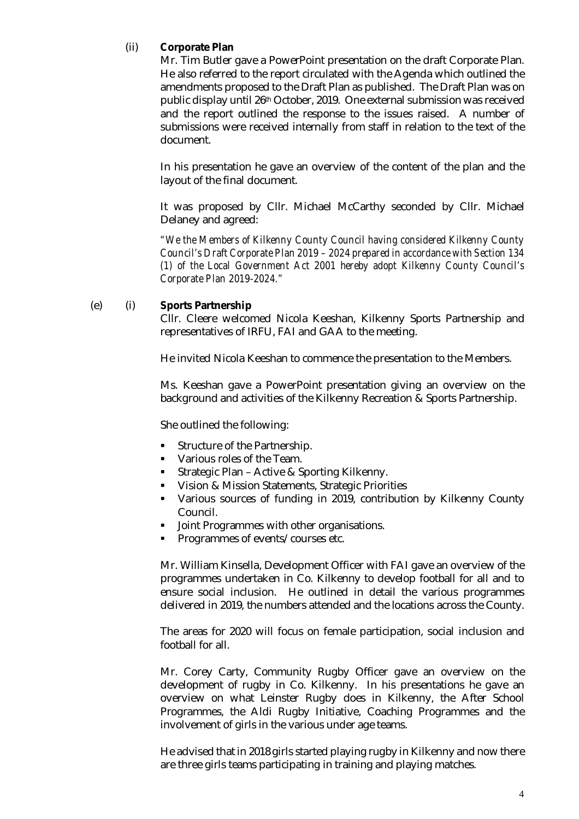# (ii) **Corporate Plan**

Mr. Tim Butler gave a PowerPoint presentation on the draft Corporate Plan. He also referred to the report circulated with the Agenda which outlined the amendments proposed to the Draft Plan as published. The Draft Plan was on public display until 26th October, 2019. One external submission was received and the report outlined the response to the issues raised. A number of submissions were received internally from staff in relation to the text of the document.

In his presentation he gave an overview of the content of the plan and the layout of the final document.

It was proposed by Cllr. Michael McCarthy seconded by Cllr. Michael Delaney and agreed:

*"We the Members of Kilkenny County Council having considered Kilkenny County Council's Draft Corporate Plan 2019 – 2024 prepared in accordance with Section 134 (1) of the Local Government Act 2001 hereby adopt Kilkenny County Council's Corporate Plan 2019-2024."*

#### (e) (i) **Sports Partnership**

Cllr. Cleere welcomed Nicola Keeshan, Kilkenny Sports Partnership and representatives of IRFU, FAI and GAA to the meeting.

He invited Nicola Keeshan to commence the presentation to the Members.

Ms. Keeshan gave a PowerPoint presentation giving an overview on the background and activities of the Kilkenny Recreation & Sports Partnership.

She outlined the following:

- **Structure of the Partnership.**
- Various roles of the Team.
- **Strategic Plan Active & Sporting Kilkenny.**
- **Vision & Mission Statements, Strategic Priorities**
- Various sources of funding in 2019, contribution by Kilkenny County Council.
- **Joint Programmes with other organisations.**
- **Programmes of events/courses etc.**

Mr. William Kinsella, Development Officer with FAI gave an overview of the programmes undertaken in Co. Kilkenny to develop football for all and to ensure social inclusion. He outlined in detail the various programmes delivered in 2019, the numbers attended and the locations across the County.

The areas for 2020 will focus on female participation, social inclusion and football for all.

Mr. Corey Carty, Community Rugby Officer gave an overview on the development of rugby in Co. Kilkenny. In his presentations he gave an overview on what Leinster Rugby does in Kilkenny, the After School Programmes, the Aldi Rugby Initiative, Coaching Programmes and the involvement of girls in the various under age teams.

He advised that in 2018 girls started playing rugby in Kilkenny and now there are three girls teams participating in training and playing matches.

4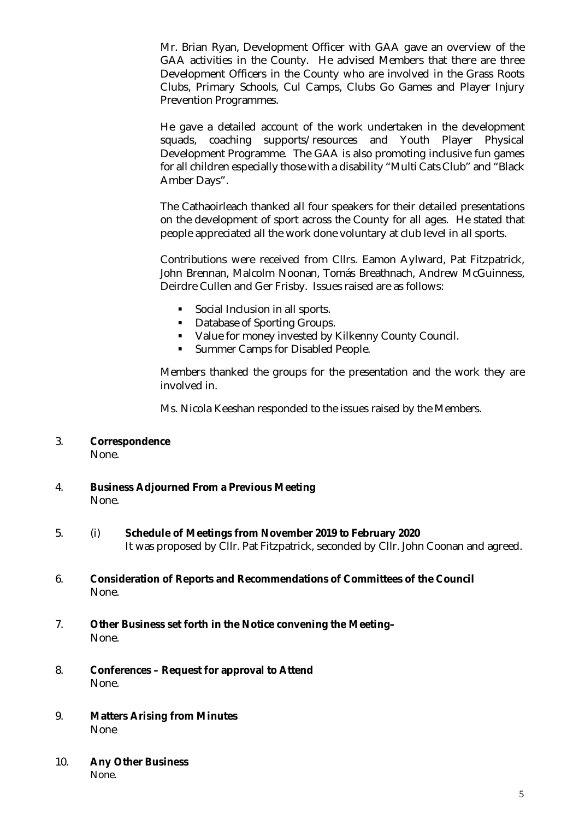Mr. Brian Ryan, Development Officer with GAA gave an overview of the GAA activities in the County. He advised Members that there are three Development Officers in the County who are involved in the Grass Roots Clubs, Primary Schools, Cul Camps, Clubs Go Games and Player Injury Prevention Programmes.

He gave a detailed account of the work undertaken in the development squads, coaching supports/resources and Youth Player Physical Development Programme. The GAA is also promoting inclusive fun games for all children especially those with a disability "Multi Cats Club" and "Black Amber Days".

The Cathaoirleach thanked all four speakers for their detailed presentations on the development of sport across the County for all ages. He stated that people appreciated all the work done voluntary at club level in all sports.

Contributions were received from Cllrs. Eamon Aylward, Pat Fitzpatrick, John Brennan, Malcolm Noonan, Tomás Breathnach, Andrew McGuinness, Deirdre Cullen and Ger Frisby. Issues raised are as follows:

- **Social Inclusion in all sports.**
- **•** Database of Sporting Groups.
- Value for money invested by Kilkenny County Council.
- **Summer Camps for Disabled People.**

Members thanked the groups for the presentation and the work they are involved in.

Ms. Nicola Keeshan responded to the issues raised by the Members.

# 3. **Correspondence**

None.

- 4. **Business Adjourned From a Previous Meeting** None.
- 5. (i) **Schedule of Meetings from November 2019 to February 2020** It was proposed by Cllr. Pat Fitzpatrick, seconded by Cllr. John Coonan and agreed.
- 6. **Consideration of Reports and Recommendations of Committees of the Council** None.
- 7. **Other Business set forth in the Notice convening the Meeting–** None.
- 8. **Conferences – Request for approval to Attend** None.
- 9. **Matters Arising from Minutes** None
- 10. **Any Other Business**

None.